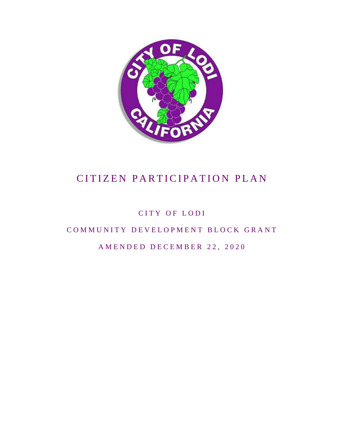

CITY OF LODI

COMMUNITY DEVELOPMENT BLOCK GRANT

AMENDED DECEMBER 22, 2020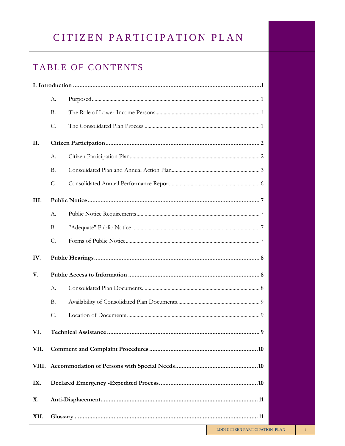# TABLE OF CONTENTS

|      | A.                        |  |  |
|------|---------------------------|--|--|
|      | B.                        |  |  |
|      | C.                        |  |  |
| II.  |                           |  |  |
|      | A.                        |  |  |
|      | <b>B.</b>                 |  |  |
|      | C.                        |  |  |
| III. |                           |  |  |
|      | A.                        |  |  |
|      | B.                        |  |  |
|      | C.                        |  |  |
| IV.  |                           |  |  |
| V.   |                           |  |  |
|      | A.                        |  |  |
|      | <b>B.</b>                 |  |  |
|      | C.                        |  |  |
| VI.  | 9<br>Technical Assistance |  |  |
| VII. |                           |  |  |
|      |                           |  |  |
| IX.  |                           |  |  |
| X.   |                           |  |  |
| XII. |                           |  |  |

 $\rm i$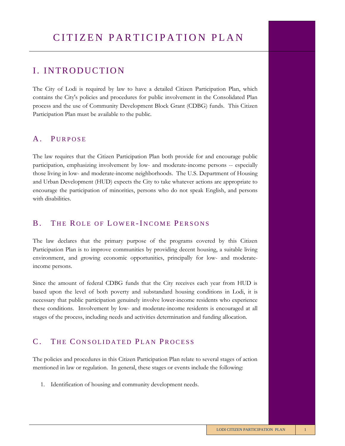### I. INTRODUCTION

The City of Lodi is required by law to have a detailed Citizen Participation Plan, which contains the City's policies and procedures for public involvement in the Consolidated Plan process and the use of Community Development Block Grant (CDBG) funds. This Citizen Participation Plan must be available to the public.

### A. PURPOSE

The law requires that the Citizen Participation Plan both provide for and encourage public participation, emphasizing involvement by low- and moderate-income persons -- especially those living in low- and moderate-income neighborhoods. The U.S. Department of Housing and Urban Development (HUD) expects the City to take whatever actions are appropriate to encourage the participation of minorities, persons who do not speak English, and persons with disabilities.

#### B. THE ROLE OF LOWER-INCOME PERSONS

The law declares that the primary purpose of the programs covered by this Citizen Participation Plan is to improve communities by providing decent housing, a suitable living environment, and growing economic opportunities, principally for low- and moderateincome persons.

Since the amount of federal CDBG funds that the City receives each year from HUD is based upon the level of both poverty and substandard housing conditions in Lodi, it is necessary that public participation genuinely involve lower-income residents who experience these conditions. Involvement by low- and moderate-income residents is encouraged at all stages of the process, including needs and activities determination and funding allocation.

### C. THE CONSOLIDATED PLAN PROCESS

The policies and procedures in this Citizen Participation Plan relate to several stages of action mentioned in law or regulation. In general, these stages or events include the following:

1. Identification of housing and community development needs.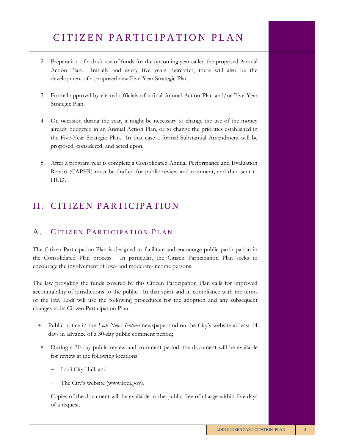- 2. Preparation of a draft use of funds for the upcoming year called the proposed Annual Action Plan. Initially and every five years thereafter, there will also be the development of a proposed new Five-Year Strategic Plan.
- 3. Formal approval by elected officials of a final Annual Action Plan and/or Five-Year Strategic Plan.
- 4. On occasion during the year, it might be necessary to change the use of the money already budgeted in an Annual Action Plan, or to change the priorities established in the Five-Year Strategic Plan. In that case a formal Substantial Amendment will be proposed, considered, and acted upon.
- 5. After a program year is complete a Consolidated Annual Performance and Evaluation Report (CAPER) must be drafted for public review and comment, and then sent to HUD.

## II. CITIZEN PARTICIPATION

### A. CITIZEN PARTICIPATION PLAN

The Citizen Participation Plan is designed to facilitate and encourage public participation in the Consolidated Plan process. In particular, the Citizen Participation Plan seeks to encourage the involvement of low- and moderate-income persons.

The law providing the funds covered by this Citizen Participation Plan calls for improved accountability of jurisdictions to the public. In that spirit and in compliance with the terms of the law, Lodi will use the following procedures for the adoption and any subsequent changes to its Citizen Participation Plan:

- Public notice in the *Lodi News-Sentinel* newspaper and on the City's website at least 14 days in advance of a 30-day public comment period;
- During a 30-day public review and comment period, the document will be available for review at the following locations:
	- − Lodi City Hall; and
	- The City's website (www.lodi.gov).

Copies of the document will be available to the public free of charge within five days of a request.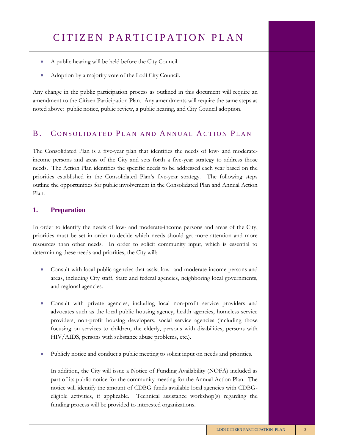- A public hearing will be held before the City Council.
- Adoption by a majority vote of the Lodi City Council.

Any change in the public participation process as outlined in this document will require an amendment to the Citizen Participation Plan. Any amendments will require the same steps as noted above: public notice, public review, a public hearing, and City Council adoption.

#### B. CONSOLIDATED PLAN AND ANNUAL ACTION PLAN

The Consolidated Plan is a five-year plan that identifies the needs of low- and moderateincome persons and areas of the City and sets forth a five-year strategy to address those needs. The Action Plan identifies the specific needs to be addressed each year based on the priorities established in the Consolidated Plan's five-year strategy. The following steps outline the opportunities for public involvement in the Consolidated Plan and Annual Action Plan:

#### **1. Preparation**

In order to identify the needs of low- and moderate-income persons and areas of the City, priorities must be set in order to decide which needs should get more attention and more resources than other needs. In order to solicit community input, which is essential to determining these needs and priorities, the City will:

- Consult with local public agencies that assist low- and moderate-income persons and areas, including City staff, State and federal agencies, neighboring local governments, and regional agencies.
- Consult with private agencies, including local non-profit service providers and advocates such as the local public housing agency, health agencies, homeless service providers, non-profit housing developers, social service agencies (including those focusing on services to children, the elderly, persons with disabilities, persons with HIV/AIDS, persons with substance abuse problems, etc.).
- Publicly notice and conduct a public meeting to solicit input on needs and priorities.

In addition, the City will issue a Notice of Funding Availability (NOFA) included as part of its public notice for the community meeting for the Annual Action Plan. The notice will identify the amount of CDBG funds available local agencies with CDBGeligible activities, if applicable. Technical assistance workshop(s) regarding the funding process will be provided to interested organizations.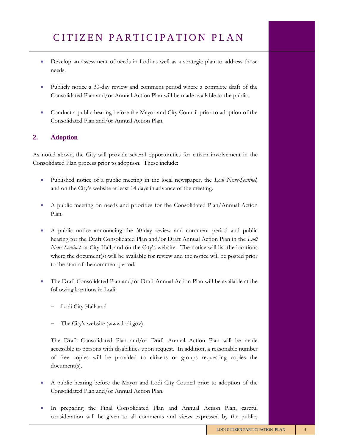- Develop an assessment of needs in Lodi as well as a strategic plan to address those needs.
- Publicly notice a 30-day review and comment period where a complete draft of the Consolidated Plan and/or Annual Action Plan will be made available to the public.
- Conduct a public hearing before the Mayor and City Council prior to adoption of the Consolidated Plan and/or Annual Action Plan.

#### **2. Adoption**

As noted above, the City will provide several opportunities for citizen involvement in the Consolidated Plan process prior to adoption. These include:

- Published notice of a public meeting in the local newspaper, the *Lodi News-Sentinel,* and on the City's website at least 14 days in advance of the meeting.
- A public meeting on needs and priorities for the Consolidated Plan/Annual Action Plan.
- A public notice announcing the 30-day review and comment period and public hearing for the Draft Consolidated Plan and/or Draft Annual Action Plan in the *Lodi News-Sentinel,* at City Hall, and on the City's website. The notice will list the locations where the document(s) will be available for review and the notice will be posted prior to the start of the comment period.
- The Draft Consolidated Plan and/or Draft Annual Action Plan will be available at the following locations in Lodi:
	- Lodi City Hall; and
	- The City's website (www.lodi.gov).

The Draft Consolidated Plan and/or Draft Annual Action Plan will be made accessible to persons with disabilities upon request. In addition, a reasonable number of free copies will be provided to citizens or groups requesting copies the document(s).

- A public hearing before the Mayor and Lodi City Council prior to adoption of the Consolidated Plan and/or Annual Action Plan.
- In preparing the Final Consolidated Plan and Annual Action Plan, careful consideration will be given to all comments and views expressed by the public,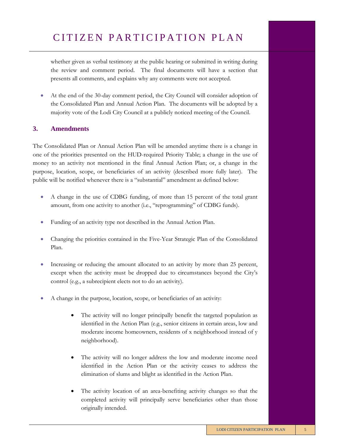whether given as verbal testimony at the public hearing or submitted in writing during the review and comment period. The final documents will have a section that presents all comments, and explains why any comments were not accepted.

• At the end of the 30-day comment period, the City Council will consider adoption of the Consolidated Plan and Annual Action Plan. The documents will be adopted by a majority vote of the Lodi City Council at a publicly noticed meeting of the Council.

#### **3. Amendments**

The Consolidated Plan or Annual Action Plan will be amended anytime there is a change in one of the priorities presented on the HUD-required Priority Table; a change in the use of money to an activity not mentioned in the final Annual Action Plan; or, a change in the purpose, location, scope, or beneficiaries of an activity (described more fully later). The public will be notified whenever there is a "substantial" amendment as defined below:

- A change in the use of CDBG funding, of more than 15 percent of the total grant amount, from one activity to another (i.e., "reprogramming" of CDBG funds).
- Funding of an activity type not described in the Annual Action Plan.
- Changing the priorities contained in the Five-Year Strategic Plan of the Consolidated Plan.
- Increasing or reducing the amount allocated to an activity by more than 25 percent, except when the activity must be dropped due to circumstances beyond the City's control (e.g., a subrecipient elects not to do an activity).
- A change in the purpose, location, scope, or beneficiaries of an activity:
	- The activity will no longer principally benefit the targeted population as identified in the Action Plan (e.g., senior citizens in certain areas, low and moderate income homeowners, residents of x neighborhood instead of y neighborhood).
	- The activity will no longer address the low and moderate income need identified in the Action Plan or the activity ceases to address the elimination of slums and blight as identified in the Action Plan.
	- The activity location of an area-benefiting activity changes so that the completed activity will principally serve beneficiaries other than those originally intended.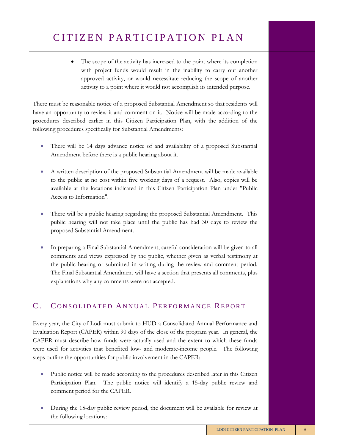• The scope of the activity has increased to the point where its completion with project funds would result in the inability to carry out another approved activity, or would necessitate reducing the scope of another activity to a point where it would not accomplish its intended purpose.

There must be reasonable notice of a proposed Substantial Amendment so that residents will have an opportunity to review it and comment on it. Notice will be made according to the procedures described earlier in this Citizen Participation Plan, with the addition of the following procedures specifically for Substantial Amendments:

- There will be 14 days advance notice of and availability of a proposed Substantial Amendment before there is a public hearing about it.
- A written description of the proposed Substantial Amendment will be made available to the public at no cost within five working days of a request. Also, copies will be available at the locations indicated in this Citizen Participation Plan under "Public Access to Information".
- There will be a public hearing regarding the proposed Substantial Amendment. This public hearing will not take place until the public has had 30 days to review the proposed Substantial Amendment.
- In preparing a Final Substantial Amendment, careful consideration will be given to all comments and views expressed by the public, whether given as verbal testimony at the public hearing or submitted in writing during the review and comment period. The Final Substantial Amendment will have a section that presents all comments, plus explanations why any comments were not accepted.

### C. CONSOLIDATED ANNUAL PERFORMANCE REPORT

Every year, the City of Lodi must submit to HUD a Consolidated Annual Performance and Evaluation Report (CAPER) within 90 days of the close of the program year. In general, the CAPER must describe how funds were actually used and the extent to which these funds were used for activities that benefited low- and moderate-income people. The following steps outline the opportunities for public involvement in the CAPER:

- Public notice will be made according to the procedures described later in this Citizen Participation Plan. The public notice will identify a 15-day public review and comment period for the CAPER.
- During the 15-day public review period, the document will be available for review at the following locations: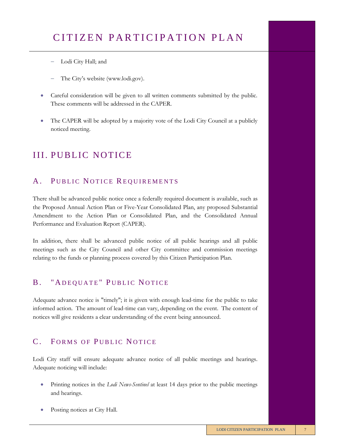- − Lodi City Hall; and
- The City's website (www.lodi.gov).
- Careful consideration will be given to all written comments submitted by the public. These comments will be addressed in the CAPER.
- The CAPER will be adopted by a majority vote of the Lodi City Council at a publicly noticed meeting.

## **III. PUBLIC NOTICE**

### A. PUBLIC NOTICE REQUIREMENTS

There shall be advanced public notice once a federally required document is available, such as the Proposed Annual Action Plan or Five-Year Consolidated Plan, any proposed Substantial Amendment to the Action Plan or Consolidated Plan, and the Consolidated Annual Performance and Evaluation Report (CAPER).

In addition, there shall be advanced public notice of all public hearings and all public meetings such as the City Council and other City committee and commission meetings relating to the funds or planning process covered by this Citizen Participation Plan.

## B. "ADEQUATE" PUBLIC NOTICE

Adequate advance notice is "timely"; it is given with enough lead-time for the public to take informed action. The amount of lead-time can vary, depending on the event. The content of notices will give residents a clear understanding of the event being announced.

### C. FORMS OF PUBLIC NOTICE

Lodi City staff will ensure adequate advance notice of all public meetings and hearings. Adequate noticing will include:

- Printing notices in the *Lodi News-Sentinel* at least 14 days prior to the public meetings and hearings.
- Posting notices at City Hall.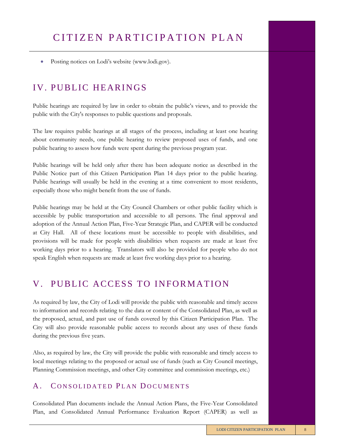• Posting notices on Lodi's website (www.lodi.gov).

## IV. PUBLIC HEARINGS

Public hearings are required by law in order to obtain the public's views, and to provide the public with the City's responses to public questions and proposals.

The law requires public hearings at all stages of the process, including at least one hearing about community needs, one public hearing to review proposed uses of funds, and one public hearing to assess how funds were spent during the previous program year.

Public hearings will be held only after there has been adequate notice as described in the Public Notice part of this Citizen Participation Plan 14 days prior to the public hearing. Public hearings will usually be held in the evening at a time convenient to most residents, especially those who might benefit from the use of funds.

Public hearings may be held at the City Council Chambers or other public facility which is accessible by public transportation and accessible to all persons. The final approval and adoption of the Annual Action Plan, Five-Year Strategic Plan, and CAPER will be conducted at City Hall. All of these locations must be accessible to people with disabilities, and provisions will be made for people with disabilities when requests are made at least five working days prior to a hearing. Translators will also be provided for people who do not speak English when requests are made at least five working days prior to a hearing.

### V. PUBLIC ACCESS TO INFORMATION

As required by law, the City of Lodi will provide the public with reasonable and timely access to information and records relating to the data or content of the Consolidated Plan, as well as the proposed, actual, and past use of funds covered by this Citizen Participation Plan. The City will also provide reasonable public access to records about any uses of these funds during the previous five years.

Also, as required by law, the City will provide the public with reasonable and timely access to local meetings relating to the proposed or actual use of funds (such as City Council meetings, Planning Commission meetings, and other City committee and commission meetings, etc.)

#### A. CONSOLIDATED PLAN DOCUMENTS

Consolidated Plan documents include the Annual Action Plans, the Five-Year Consolidated Plan, and Consolidated Annual Performance Evaluation Report (CAPER) as well as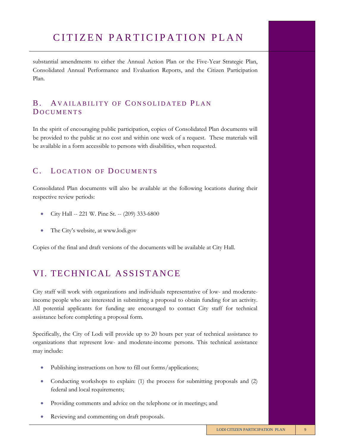substantial amendments to either the Annual Action Plan or the Five-Year Strategic Plan, Consolidated Annual Performance and Evaluation Reports, and the Citizen Participation Plan.

### B. A VAILABILITY OF CONSOLIDATED PLAN **DOCUMENTS**

In the spirit of encouraging public participation, copies of Consolidated Plan documents will be provided to the public at no cost and within one week of a request. These materials will be available in a form accessible to persons with disabilities, when requested.

### C. LOCATION OF DOCUMENTS

Consolidated Plan documents will also be available at the following locations during their respective review periods:

- City Hall -- 221 W. Pine St. -- (209) 333-6800
- The City's website, at www.lodi.gov

Copies of the final and draft versions of the documents will be available at City Hall.

## VI. TECHNICAL ASSISTANCE

City staff will work with organizations and individuals representative of low- and moderateincome people who are interested in submitting a proposal to obtain funding for an activity. All potential applicants for funding are encouraged to contact City staff for technical assistance before completing a proposal form.

Specifically, the City of Lodi will provide up to 20 hours per year of technical assistance to organizations that represent low- and moderate-income persons. This technical assistance may include:

- Publishing instructions on how to fill out forms/applications;
- Conducting workshops to explain: (1) the process for submitting proposals and (2) federal and local requirements;
- Providing comments and advice on the telephone or in meetings; and
- Reviewing and commenting on draft proposals.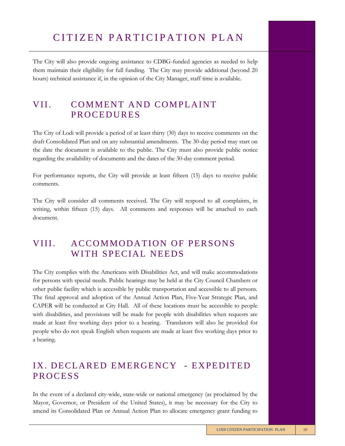The City will also provide ongoing assistance to CDBG-funded agencies as needed to help them maintain their eligibility for full funding. The City may provide additional (beyond 20 hours) technical assistance if, in the opinion of the City Manager, staff time is available.

## VII. COMMENT AND COMPLAINT **PROCEDURES**

The City of Lodi will provide a period of at least thirty (30) days to receive comments on the draft Consolidated Plan and on any substantial amendments. The 30-day period may start on the date the document is available to the public. The City must also provide public notice regarding the availability of documents and the dates of the 30-day comment period.

For performance reports, the City will provide at least fifteen (15) days to receive public comments.

The City will consider all comments received. The City will respond to all complaints, in writing, within fifteen (15) days. All comments and responses will be attached to each document.

## VIII. ACCOMMODATION OF PERSONS WITH SPECIAL NEEDS

The City complies with the Americans with Disabilities Act, and will make accommodations for persons with special needs. Public hearings may be held at the City Council Chambers or other public facility which is accessible by public transportation and accessible to all persons. The final approval and adoption of the Annual Action Plan, Five-Year Strategic Plan, and CAPER will be conducted at City Hall. All of these locations must be accessible to people with disabilities, and provisions will be made for people with disabilities when requests are made at least five working days prior to a hearing. Translators will also be provided for people who do not speak English when requests are made at least five working days prior to a hearing.

### IX. DECLARED EMERGENCY - EXPEDITED **PROCESS**

In the event of a declared city-wide, state-wide or national emergency (as proclaimed by the Mayor, Governor, or President of the United States), it may be necessary for the City to amend its Consolidated Plan or Annual Action Plan to allocate emergency grant funding to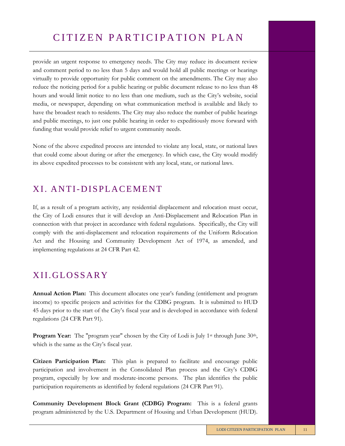provide an urgent response to emergency needs. The City may reduce its document review and comment period to no less than 5 days and would hold all public meetings or hearings virtually to provide opportunity for public comment on the amendments. The City may also reduce the noticing period for a public hearing or public document release to no less than 48 hours and would limit notice to no less than one medium, such as the City's website, social media, or newspaper, depending on what communication method is available and likely to have the broadest reach to residents. The City may also reduce the number of public hearings and public meetings, to just one public hearing in order to expeditiously move forward with funding that would provide relief to urgent community needs.

None of the above expedited process are intended to violate any local, state, or national laws that could come about during or after the emergency. In which case, the City would modify its above expedited processes to be consistent with any local, state, or national laws.

### XI. ANTI-DISPLACEMENT

If, as a result of a program activity, any residential displacement and relocation must occur, the City of Lodi ensures that it will develop an Anti-Displacement and Relocation Plan in connection with that project in accordance with federal regulations. Specifically, the City will comply with the anti-displacement and relocation requirements of the Uniform Relocation Act and the Housing and Community Development Act of 1974, as amended, and implementing regulations at 24 CFR Part 42.

## XII.GLOSSARY

**Annual Action Plan:** This document allocates one year's funding (entitlement and program income) to specific projects and activities for the CDBG program. It is submitted to HUD 45 days prior to the start of the City's fiscal year and is developed in accordance with federal regulations (24 CFR Part 91).

**Program Year:** The "program year" chosen by the City of Lodi is July 1<sup>st</sup> through June 30<sup>th</sup>, which is the same as the City's fiscal year.

**Citizen Participation Plan:** This plan is prepared to facilitate and encourage public participation and involvement in the Consolidated Plan process and the City's CDBG program, especially by low and moderate-income persons. The plan identifies the public participation requirements as identified by federal regulations (24 CFR Part 91).

**Community Development Block Grant (CDBG) Program:** This is a federal grants program administered by the U.S. Department of Housing and Urban Development (HUD).